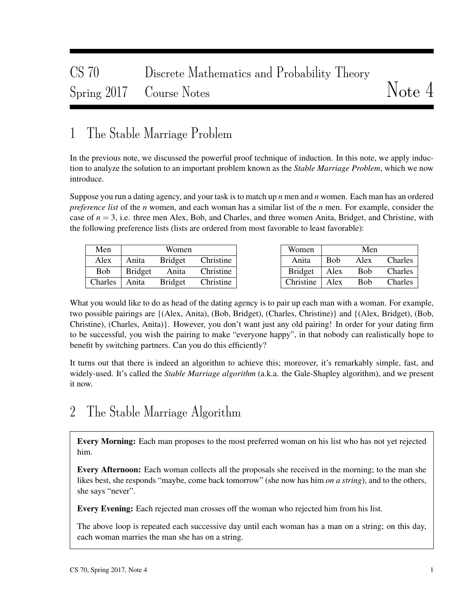# CS 70 Discrete Mathematics and Probability Theory Spring 2017 Course Notes Notes

## 1 The Stable Marriage Problem

In the previous note, we discussed the powerful proof technique of induction. In this note, we apply induction to analyze the solution to an important problem known as the *Stable Marriage Problem*, which we now introduce.

Suppose you run a dating agency, and your task is to match up *n* men and *n* women. Each man has an ordered *preference list* of the *n* women, and each woman has a similar list of the *n* men. For example, consider the case of  $n = 3$ , i.e. three men Alex, Bob, and Charles, and three women Anita, Bridget, and Christine, with the following preference lists (lists are ordered from most favorable to least favorable):

| Men            |                | Women          |           |
|----------------|----------------|----------------|-----------|
| Alex           | Anita          | <b>Bridget</b> | Christine |
| <b>Bob</b>     | <b>Bridget</b> | Anita          | Christine |
| <b>Charles</b> | Anita          | <b>Bridget</b> | Christine |

| Women          |             | Men        |         |
|----------------|-------------|------------|---------|
| Anita          | <b>B</b> ob | Alex       | Charles |
| <b>Bridget</b> | Alex        | <b>Bob</b> | Charles |
| Christine      | Alex        | Bob        | Charles |

What you would like to do as head of the dating agency is to pair up each man with a woman. For example, two possible pairings are {(Alex, Anita), (Bob, Bridget), (Charles, Christine)} and {(Alex, Bridget), (Bob, Christine), (Charles, Anita)}. However, you don't want just any old pairing! In order for your dating firm to be successful, you wish the pairing to make "everyone happy", in that nobody can realistically hope to benefit by switching partners. Can you do this efficiently?

It turns out that there is indeed an algorithm to achieve this; moreover, it's remarkably simple, fast, and widely-used. It's called the *Stable Marriage algorithm* (a.k.a. the Gale-Shapley algorithm), and we present it now.

## 2 The Stable Marriage Algorithm

Every Morning: Each man proposes to the most preferred woman on his list who has not yet rejected him.

Every Afternoon: Each woman collects all the proposals she received in the morning; to the man she likes best, she responds "maybe, come back tomorrow" (she now has him *on a string*), and to the others, she says "never".

Every Evening: Each rejected man crosses off the woman who rejected him from his list.

The above loop is repeated each successive day until each woman has a man on a string; on this day, each woman marries the man she has on a string.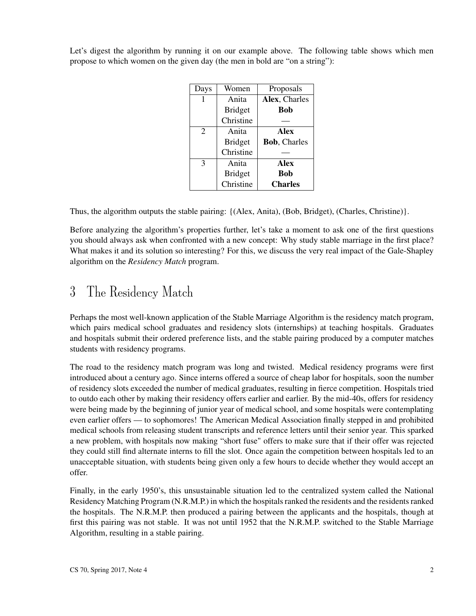| Let's digest the algorithm by running it on our example above. The following table shows which men |  |  |  |
|----------------------------------------------------------------------------------------------------|--|--|--|
| propose to which women on the given day (the men in bold are "on a string"):                       |  |  |  |

| Days           | Women          | Proposals            |
|----------------|----------------|----------------------|
|                | Anita          | Alex, Charles        |
|                | <b>Bridget</b> | <b>Bob</b>           |
|                | Christine      |                      |
| $\overline{c}$ | Anita          | <b>Alex</b>          |
|                | <b>Bridget</b> | <b>Bob</b> , Charles |
|                | Christine      |                      |
| 3              | Anita          | Alex                 |
|                | <b>Bridget</b> | <b>Bob</b>           |
|                | Christine      | <b>Charles</b>       |

Thus, the algorithm outputs the stable pairing: {(Alex, Anita), (Bob, Bridget), (Charles, Christine)}.

Before analyzing the algorithm's properties further, let's take a moment to ask one of the first questions you should always ask when confronted with a new concept: Why study stable marriage in the first place? What makes it and its solution so interesting? For this, we discuss the very real impact of the Gale-Shapley algorithm on the *Residency Match* program.

#### 3 The Residency Match

Perhaps the most well-known application of the Stable Marriage Algorithm is the residency match program, which pairs medical school graduates and residency slots (internships) at teaching hospitals. Graduates and hospitals submit their ordered preference lists, and the stable pairing produced by a computer matches students with residency programs.

The road to the residency match program was long and twisted. Medical residency programs were first introduced about a century ago. Since interns offered a source of cheap labor for hospitals, soon the number of residency slots exceeded the number of medical graduates, resulting in fierce competition. Hospitals tried to outdo each other by making their residency offers earlier and earlier. By the mid-40s, offers for residency were being made by the beginning of junior year of medical school, and some hospitals were contemplating even earlier offers — to sophomores! The American Medical Association finally stepped in and prohibited medical schools from releasing student transcripts and reference letters until their senior year. This sparked a new problem, with hospitals now making "short fuse" offers to make sure that if their offer was rejected they could still find alternate interns to fill the slot. Once again the competition between hospitals led to an unacceptable situation, with students being given only a few hours to decide whether they would accept an offer.

Finally, in the early 1950's, this unsustainable situation led to the centralized system called the National Residency Matching Program (N.R.M.P.) in which the hospitals ranked the residents and the residents ranked the hospitals. The N.R.M.P. then produced a pairing between the applicants and the hospitals, though at first this pairing was not stable. It was not until 1952 that the N.R.M.P. switched to the Stable Marriage Algorithm, resulting in a stable pairing.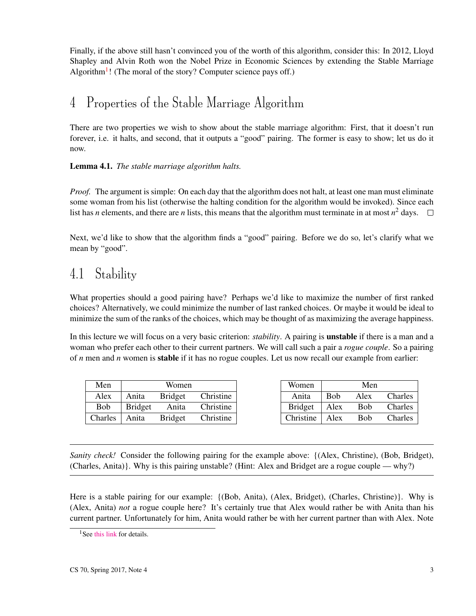Finally, if the above still hasn't convinced you of the worth of this algorithm, consider this: In 2012, Lloyd Shapley and Alvin Roth won the Nobel Prize in Economic Sciences by extending the Stable Marriage Algorithm<sup>[1](#page-2-0)</sup>! (The moral of the story? Computer science pays off.)

## 4 Properties of the Stable Marriage Algorithm

There are two properties we wish to show about the stable marriage algorithm: First, that it doesn't run forever, i.e. it halts, and second, that it outputs a "good" pairing. The former is easy to show; let us do it now.

Lemma 4.1. *The stable marriage algorithm halts.*

*Proof.* The argument is simple: On each day that the algorithm does not halt, at least one man must eliminate some woman from his list (otherwise the halting condition for the algorithm would be invoked). Since each list has *n* elements, and there are *n* lists, this means that the algorithm must terminate in at most  $n^2$  days.

Next, we'd like to show that the algorithm finds a "good" pairing. Before we do so, let's clarify what we mean by "good".

# 4.1 Stability

What properties should a good pairing have? Perhaps we'd like to maximize the number of first ranked choices? Alternatively, we could minimize the number of last ranked choices. Or maybe it would be ideal to minimize the sum of the ranks of the choices, which may be thought of as maximizing the average happiness.

In this lecture we will focus on a very basic criterion: *stability*. A pairing is unstable if there is a man and a woman who prefer each other to their current partners. We will call such a pair a *rogue couple*. So a pairing of *n* men and *n* women is stable if it has no rogue couples. Let us now recall our example from earlier:

| Men        | Women          |                |           |  |  |
|------------|----------------|----------------|-----------|--|--|
| Alex       | Anita          | <b>Bridget</b> | Christine |  |  |
| <b>Bob</b> | <b>Bridget</b> | Anita          | Christine |  |  |
| Charles    | Anita          | <b>Bridget</b> | Christine |  |  |

| Women          | Men        |      |         |  |  |
|----------------|------------|------|---------|--|--|
| Anita          | <b>Bob</b> | Alex | Charles |  |  |
| <b>Bridget</b> | Alex       | Bob  | Charles |  |  |
| Christine      | Alex       | Bob  | Charles |  |  |

*Sanity check!* Consider the following pairing for the example above: {(Alex, Christine), (Bob, Bridget), (Charles, Anita)}. Why is this pairing unstable? (Hint: Alex and Bridget are a rogue couple — why?)

Here is a stable pairing for our example: {(Bob, Anita), (Alex, Bridget), (Charles, Christine)}. Why is (Alex, Anita) *not* a rogue couple here? It's certainly true that Alex would rather be with Anita than his current partner. Unfortunately for him, Anita would rather be with her current partner than with Alex. Note

<span id="page-2-0"></span><sup>&</sup>lt;sup>1</sup> See [this link](http://www.nobelprize.org/nobel_prizes/economic-sciences/laureates/2012/popular-economicsciences2012.pdf) for details.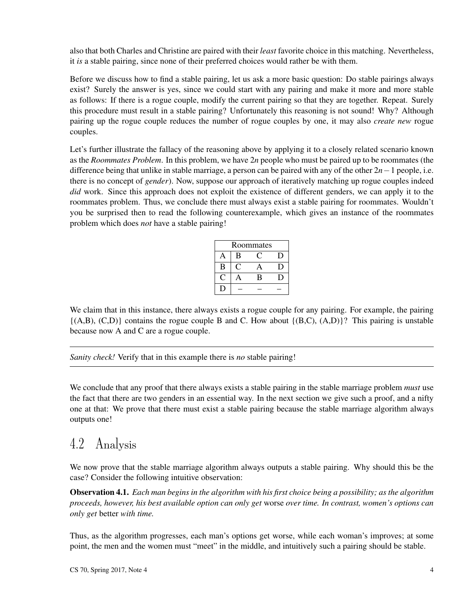also that both Charles and Christine are paired with their *least* favorite choice in this matching. Nevertheless, it *is* a stable pairing, since none of their preferred choices would rather be with them.

Before we discuss how to find a stable pairing, let us ask a more basic question: Do stable pairings always exist? Surely the answer is yes, since we could start with any pairing and make it more and more stable as follows: If there is a rogue couple, modify the current pairing so that they are together. Repeat. Surely this procedure must result in a stable pairing? Unfortunately this reasoning is not sound! Why? Although pairing up the rogue couple reduces the number of rogue couples by one, it may also *create new* rogue couples.

Let's further illustrate the fallacy of the reasoning above by applying it to a closely related scenario known as the *Roommates Problem*. In this problem, we have 2*n* people who must be paired up to be roommates (the difference being that unlike in stable marriage, a person can be paired with any of the other 2*n*−1 people, i.e. there is no concept of *gender*). Now, suppose our approach of iteratively matching up rogue couples indeed *did* work. Since this approach does not exploit the existence of different genders, we can apply it to the roommates problem. Thus, we conclude there must always exist a stable pairing for roommates. Wouldn't you be surprised then to read the following counterexample, which gives an instance of the roommates problem which does *not* have a stable pairing!

| Roommates |     |   |   |  |  |
|-----------|-----|---|---|--|--|
|           | B   |   | D |  |  |
| B         | e N | д |   |  |  |
|           |     | В |   |  |  |
|           |     |   |   |  |  |

We claim that in this instance, there always exists a rogue couple for any pairing. For example, the pairing  ${(A,B), (C,D)}$  contains the rogue couple B and C. How about  ${(B,C), (A,D)}$ ? This pairing is unstable because now A and C are a rogue couple.

*Sanity check!* Verify that in this example there is *no* stable pairing!

We conclude that any proof that there always exists a stable pairing in the stable marriage problem *must* use the fact that there are two genders in an essential way. In the next section we give such a proof, and a nifty one at that: We prove that there must exist a stable pairing because the stable marriage algorithm always outputs one!

## <span id="page-3-1"></span>4.2 Analysis

We now prove that the stable marriage algorithm always outputs a stable pairing. Why should this be the case? Consider the following intuitive observation:

<span id="page-3-0"></span>Observation 4.1. *Each man begins in the algorithm with his first choice being a possibility; as the algorithm proceeds, however, his best available option can only get* worse *over time. In contrast, women's options can only get* better *with time.*

Thus, as the algorithm progresses, each man's options get worse, while each woman's improves; at some point, the men and the women must "meet" in the middle, and intuitively such a pairing should be stable.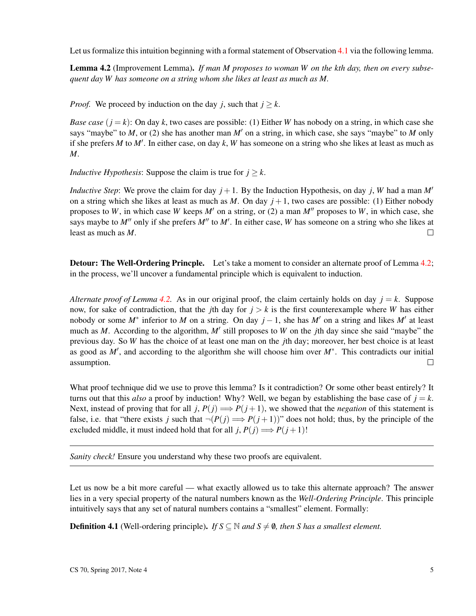Let us formalize this intuition beginning with a formal statement of Observation [4.1](#page-3-0) via the following lemma.

<span id="page-4-0"></span>Lemma 4.2 (Improvement Lemma). *If man M proposes to woman W on the kth day, then on every subsequent day W has someone on a string whom she likes at least as much as M.*

*Proof.* We proceed by induction on the day *j*, such that  $j \geq k$ .

*Base case*  $(i = k)$ : On day k, two cases are possible: (1) Either *W* has nobody on a string, in which case she says "maybe" to *M*, or (2) she has another man  $M'$  on a string, in which case, she says "maybe" to *M* only if she prefers  $M$  to  $M'$ . In either case, on day  $k$ ,  $W$  has someone on a string who she likes at least as much as *M*.

*Inductive Hypothesis:* Suppose the claim is true for  $j > k$ .

*Inductive Step*: We prove the claim for day  $j + 1$ . By the Induction Hypothesis, on day *j*, *W* had a man *M<sup>'</sup>* on a string which she likes at least as much as *M*. On day  $j + 1$ , two cases are possible: (1) Either nobody proposes to *W*, in which case *W* keeps *M'* on a string, or (2) a man *M''* proposes to *W*, in which case, she says maybe to  $M''$  only if she prefers  $M''$  to  $M'$ . In either case, W has someone on a string who she likes at least as much as *M*.  $\Box$ 

**Detour: The Well-Ordering Princple.** Let's take a moment to consider an alternate proof of Lemma [4.2;](#page-4-0) in the process, we'll uncover a fundamental principle which is equivalent to induction.

*Alternate proof of Lemma [4.2.](#page-4-0)* As in our original proof, the claim certainly holds on day  $j = k$ . Suppose now, for sake of contradiction, that the *j*th day for  $j > k$  is the first counterexample where *W* has either nobody or some  $M^*$  inferior to M on a string. On day  $j-1$ , she has M' on a string and likes M' at least much as *M*. According to the algorithm, *M'* still proposes to *W* on the *j*th day since she said "maybe" the previous day. So *W* has the choice of at least one man on the *j*th day; moreover, her best choice is at least as good as *M'*, and according to the algorithm she will choose him over *M*<sup>∗</sup>. This contradicts our initial assumption.  $\Box$ 

What proof technique did we use to prove this lemma? Is it contradiction? Or some other beast entirely? It turns out that this *also* a proof by induction! Why? Well, we began by establishing the base case of  $j = k$ . Next, instead of proving that for all *j*,  $P(j) \implies P(j+1)$ , we showed that the *negation* of this statement is false, i.e. that "there exists *j* such that  $\neg (P(j) \Longrightarrow P(j+1))$ " does not hold; thus, by the principle of the excluded middle, it must indeed hold that for all *j*,  $P(j) \implies P(j+1)!$ 

*Sanity check!* Ensure you understand why these two proofs are equivalent.

Let us now be a bit more careful — what exactly allowed us to take this alternate approach? The answer lies in a very special property of the natural numbers known as the *Well-Ordering Principle*. This principle intuitively says that any set of natural numbers contains a "smallest" element. Formally:

**Definition 4.1** (Well-ordering principle). *If*  $S \subseteq \mathbb{N}$  *and*  $S \neq \emptyset$ *, then S* has a smallest element.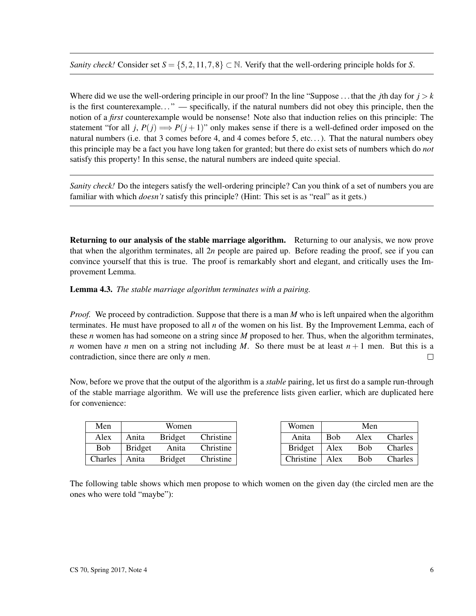*Sanity check!* Consider set  $S = \{5, 2, 11, 7, 8\} \subset \mathbb{N}$ . Verify that the well-ordering principle holds for *S*.

Where did we use the well-ordering principle in our proof? In the line "Suppose ... that the *j*th day for  $j > k$ is the first counterexample..." — specifically, if the natural numbers did not obey this principle, then the notion of a *first* counterexample would be nonsense! Note also that induction relies on this principle: The statement "for all *j*,  $P(j) \implies P(j+1)$ " only makes sense if there is a well-defined order imposed on the natural numbers (i.e. that 3 comes before 4, and 4 comes before 5, etc...). That the natural numbers obey this principle may be a fact you have long taken for granted; but there do exist sets of numbers which do *not* satisfy this property! In this sense, the natural numbers are indeed quite special.

*Sanity check!* Do the integers satisfy the well-ordering principle? Can you think of a set of numbers you are familiar with which *doesn't* satisfy this principle? (Hint: This set is as "real" as it gets.)

Returning to our analysis of the stable marriage algorithm. Returning to our analysis, we now prove that when the algorithm terminates, all 2*n* people are paired up. Before reading the proof, see if you can convince yourself that this is true. The proof is remarkably short and elegant, and critically uses the Improvement Lemma.

Lemma 4.3. *The stable marriage algorithm terminates with a pairing.*

*Proof.* We proceed by contradiction. Suppose that there is a man *M* who is left unpaired when the algorithm terminates. He must have proposed to all *n* of the women on his list. By the Improvement Lemma, each of these *n* women has had someone on a string since *M* proposed to her. Thus, when the algorithm terminates, *n* women have *n* men on a string not including *M*. So there must be at least  $n + 1$  men. But this is a contradiction, since there are only *n* men.  $\Box$ 

Now, before we prove that the output of the algorithm is a *stable* pairing, let us first do a sample run-through of the stable marriage algorithm. We will use the preference lists given earlier, which are duplicated here for convenience:

| Men        | Women          |                |           |  |  |  |
|------------|----------------|----------------|-----------|--|--|--|
| Alex       | Anita          | <b>Bridget</b> | Christine |  |  |  |
| <b>Bob</b> | <b>Bridget</b> | Anita          | Christine |  |  |  |
| Charles    | Anita          | <b>Bridget</b> | Christine |  |  |  |

| Women          | Men         |            |         |  |  |
|----------------|-------------|------------|---------|--|--|
| Anita          | <b>B</b> ob | Alex       | Charles |  |  |
| <b>Bridget</b> | Alex        | <b>Bob</b> | Charles |  |  |
| Christine      | Alex        | Bob        | Charles |  |  |

The following table shows which men propose to which women on the given day (the circled men are the ones who were told "maybe"):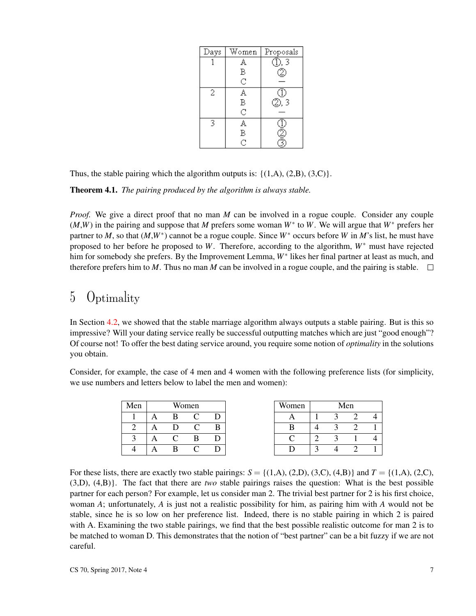| Days | Women              | Proposals |
|------|--------------------|-----------|
|      | A                  | D, 3      |
|      | В                  |           |
|      | d                  |           |
| 2    | A                  |           |
|      | $_{\rm C}^{\rm B}$ | W<br>D, 3 |
|      |                    |           |
| 3    | A                  |           |
|      | B                  |           |
|      | $\rm \bar{c}$      |           |

Thus, the stable pairing which the algorithm outputs is:  $\{(1,A), (2,B), (3,C)\}.$ 

Theorem 4.1. *The pairing produced by the algorithm is always stable.*

*Proof.* We give a direct proof that no man *M* can be involved in a rogue couple. Consider any couple (*M*,*W*) in the pairing and suppose that *M* prefers some woman *W*<sup>∗</sup> to *W*. We will argue that *W*<sup>∗</sup> prefers her partner to *M*, so that  $(M, W^*)$  cannot be a rogue couple. Since  $W^*$  occurs before *W* in *M*'s list, he must have proposed to her before he proposed to *W*. Therefore, according to the algorithm, *W*<sup>∗</sup> must have rejected him for somebody she prefers. By the Improvement Lemma, *W*<sup>∗</sup> likes her final partner at least as much, and therefore prefers him to *M*. Thus no man *M* can be involved in a rogue couple, and the pairing is stable.  $\Box$ 

### 5 Optimality

In Section [4.2,](#page-3-1) we showed that the stable marriage algorithm always outputs a stable pairing. But is this so impressive? Will your dating service really be successful outputting matches which are just "good enough"? Of course not! To offer the best dating service around, you require some notion of *optimality* in the solutions you obtain.

Consider, for example, the case of 4 men and 4 women with the following preference lists (for simplicity, we use numbers and letters below to label the men and women):

| Men |  | Women |   | Women |        | Men |  |
|-----|--|-------|---|-------|--------|-----|--|
|     |  |       |   |       |        |     |  |
|     |  |       | в |       |        |     |  |
| ◠   |  |       |   |       | $\sim$ |     |  |
|     |  |       |   |       |        |     |  |

For these lists, there are exactly two stable pairings:  $S = \{(1, A), (2, D), (3, C), (4, B)\}\$ and  $T = \{(1, A), (2, C),$ (3,D), (4,B)}. The fact that there are *two* stable pairings raises the question: What is the best possible partner for each person? For example, let us consider man 2. The trivial best partner for 2 is his first choice, woman *A*; unfortunately, *A* is just not a realistic possibility for him, as pairing him with *A* would not be stable, since he is so low on her preference list. Indeed, there is no stable pairing in which 2 is paired with A. Examining the two stable pairings, we find that the best possible realistic outcome for man 2 is to be matched to woman D. This demonstrates that the notion of "best partner" can be a bit fuzzy if we are not careful.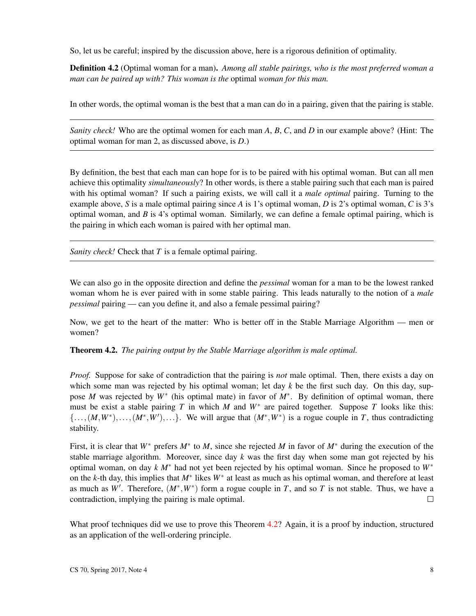So, let us be careful; inspired by the discussion above, here is a rigorous definition of optimality.

Definition 4.2 (Optimal woman for a man). *Among all stable pairings, who is the most preferred woman a man can be paired up with? This woman is the* optimal *woman for this man.*

In other words, the optimal woman is the best that a man can do in a pairing, given that the pairing is stable.

*Sanity check!* Who are the optimal women for each man *A*, *B*, *C*, and *D* in our example above? (Hint: The optimal woman for man 2, as discussed above, is *D*.)

By definition, the best that each man can hope for is to be paired with his optimal woman. But can all men achieve this optimality *simultaneously*? In other words, is there a stable pairing such that each man is paired with his optimal woman? If such a pairing exists, we will call it a *male optimal* pairing. Turning to the example above, *S* is a male optimal pairing since *A* is 1's optimal woman, *D* is 2's optimal woman, *C* is 3's optimal woman, and *B* is 4's optimal woman. Similarly, we can define a female optimal pairing, which is the pairing in which each woman is paired with her optimal man.

*Sanity check!* Check that *T* is a female optimal pairing.

We can also go in the opposite direction and define the *pessimal* woman for a man to be the lowest ranked woman whom he is ever paired with in some stable pairing. This leads naturally to the notion of a *male pessimal* pairing — can you define it, and also a female pessimal pairing?

Now, we get to the heart of the matter: Who is better off in the Stable Marriage Algorithm — men or women?

<span id="page-7-0"></span>Theorem 4.2. *The pairing output by the Stable Marriage algorithm is male optimal.*

*Proof.* Suppose for sake of contradiction that the pairing is *not* male optimal. Then, there exists a day on which some man was rejected by his optimal woman; let day k be the first such day. On this day, suppose *M* was rejected by  $W^*$  (his optimal mate) in favor of  $M^*$ . By definition of optimal woman, there must be exist a stable pairing  $T$  in which  $M$  and  $W^*$  are paired together. Suppose  $T$  looks like this:  $\{\ldots, (M, W^*)$ ,..., $(M^*, W')$ ,...}. We will argue that  $(M^*, W^*)$  is a rogue couple in *T*, thus contradicting stability.

First, it is clear that *W*<sup>∗</sup> prefers *M*<sup>∗</sup> to *M*, since she rejected *M* in favor of *M*<sup>∗</sup> during the execution of the stable marriage algorithm. Moreover, since day *k* was the first day when some man got rejected by his optimal woman, on day *k M*<sup>∗</sup> had not yet been rejected by his optimal woman. Since he proposed to *W*<sup>∗</sup> on the *k*-th day, this implies that *M*<sup>∗</sup> likes *W*<sup>∗</sup> at least as much as his optimal woman, and therefore at least as much as *W'*. Therefore,  $(M^*, W^*)$  form a rogue couple in *T*, and so *T* is not stable. Thus, we have a contradiction, implying the pairing is male optimal.  $\Box$ 

What proof techniques did we use to prove this Theorem [4.2?](#page-7-0) Again, it is a proof by induction, structured as an application of the well-ordering principle.